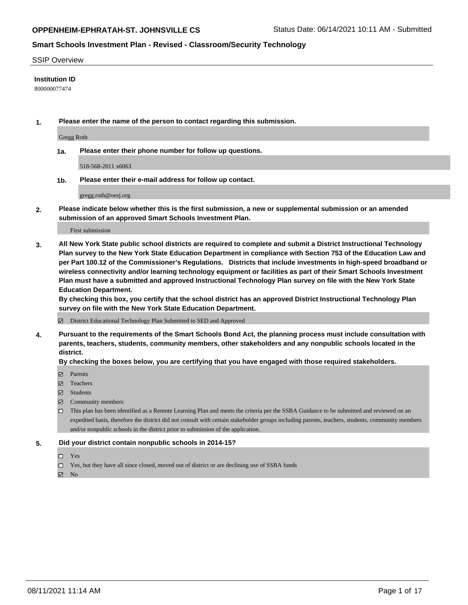#### SSIP Overview

### **Institution ID**

800000077474

**1. Please enter the name of the person to contact regarding this submission.**

Gregg Roth

**1a. Please enter their phone number for follow up questions.**

518-568-2011 x6063

**1b. Please enter their e-mail address for follow up contact.**

gregg.roth@oesj.org

**2. Please indicate below whether this is the first submission, a new or supplemental submission or an amended submission of an approved Smart Schools Investment Plan.**

#### First submission

**3. All New York State public school districts are required to complete and submit a District Instructional Technology Plan survey to the New York State Education Department in compliance with Section 753 of the Education Law and per Part 100.12 of the Commissioner's Regulations. Districts that include investments in high-speed broadband or wireless connectivity and/or learning technology equipment or facilities as part of their Smart Schools Investment Plan must have a submitted and approved Instructional Technology Plan survey on file with the New York State Education Department.** 

**By checking this box, you certify that the school district has an approved District Instructional Technology Plan survey on file with the New York State Education Department.**

District Educational Technology Plan Submitted to SED and Approved

**4. Pursuant to the requirements of the Smart Schools Bond Act, the planning process must include consultation with parents, teachers, students, community members, other stakeholders and any nonpublic schools located in the district.** 

### **By checking the boxes below, you are certifying that you have engaged with those required stakeholders.**

- **Parents**
- Teachers
- Students
- $\boxtimes$  Community members
- This plan has been identified as a Remote Learning Plan and meets the criteria per the SSBA Guidance to be submitted and reviewed on an expedited basis, therefore the district did not consult with certain stakeholder groups including parents, teachers, students, community members and/or nonpublic schools in the district prior to submission of the application.
- **5. Did your district contain nonpublic schools in 2014-15?**
	- □ Yes
	- □ Yes, but they have all since closed, moved out of district or are declining use of SSBA funds

 $M$  No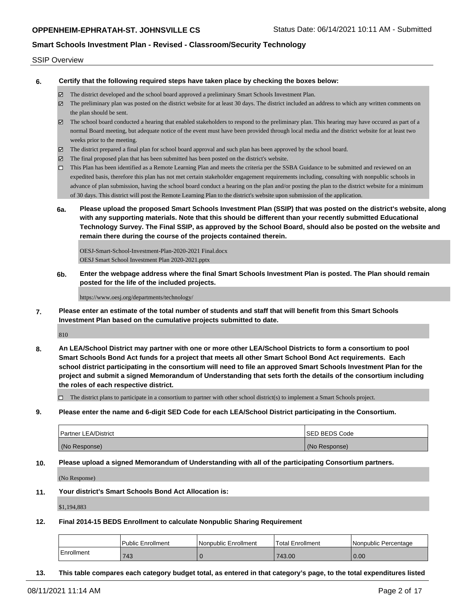#### SSIP Overview

**6. Certify that the following required steps have taken place by checking the boxes below:**

- The district developed and the school board approved a preliminary Smart Schools Investment Plan.
- The preliminary plan was posted on the district website for at least 30 days. The district included an address to which any written comments on the plan should be sent.
- $\boxtimes$  The school board conducted a hearing that enabled stakeholders to respond to the preliminary plan. This hearing may have occured as part of a normal Board meeting, but adequate notice of the event must have been provided through local media and the district website for at least two weeks prior to the meeting.
- The district prepared a final plan for school board approval and such plan has been approved by the school board.
- $\boxtimes$  The final proposed plan that has been submitted has been posted on the district's website.
- This Plan has been identified as a Remote Learning Plan and meets the criteria per the SSBA Guidance to be submitted and reviewed on an expedited basis, therefore this plan has not met certain stakeholder engagement requirements including, consulting with nonpublic schools in advance of plan submission, having the school board conduct a hearing on the plan and/or posting the plan to the district website for a minimum of 30 days. This district will post the Remote Learning Plan to the district's website upon submission of the application.
- **6a. Please upload the proposed Smart Schools Investment Plan (SSIP) that was posted on the district's website, along with any supporting materials. Note that this should be different than your recently submitted Educational Technology Survey. The Final SSIP, as approved by the School Board, should also be posted on the website and remain there during the course of the projects contained therein.**

OESJ-Smart-School-Investment-Plan-2020-2021 Final.docx OESJ Smart School Investment Plan 2020-2021.pptx

**6b. Enter the webpage address where the final Smart Schools Investment Plan is posted. The Plan should remain posted for the life of the included projects.**

https://www.oesj.org/departments/technology/

**7. Please enter an estimate of the total number of students and staff that will benefit from this Smart Schools Investment Plan based on the cumulative projects submitted to date.**

810

**8. An LEA/School District may partner with one or more other LEA/School Districts to form a consortium to pool Smart Schools Bond Act funds for a project that meets all other Smart School Bond Act requirements. Each school district participating in the consortium will need to file an approved Smart Schools Investment Plan for the project and submit a signed Memorandum of Understanding that sets forth the details of the consortium including the roles of each respective district.**

 $\Box$  The district plans to participate in a consortium to partner with other school district(s) to implement a Smart Schools project.

**9. Please enter the name and 6-digit SED Code for each LEA/School District participating in the Consortium.**

| <b>Partner LEA/District</b> | <b>ISED BEDS Code</b> |
|-----------------------------|-----------------------|
| (No Response)               | (No Response)         |

**10. Please upload a signed Memorandum of Understanding with all of the participating Consortium partners.**

(No Response)

**11. Your district's Smart Schools Bond Act Allocation is:**

\$1,194,883

**12. Final 2014-15 BEDS Enrollment to calculate Nonpublic Sharing Requirement**

|            | l Public Enrollment | l Nonpublic Enrollment | <b>Total Enrollment</b> | l Nonpublic Percentage |
|------------|---------------------|------------------------|-------------------------|------------------------|
| Enrollment | 743                 |                        | 743.00                  | 0.00                   |

**13. This table compares each category budget total, as entered in that category's page, to the total expenditures listed**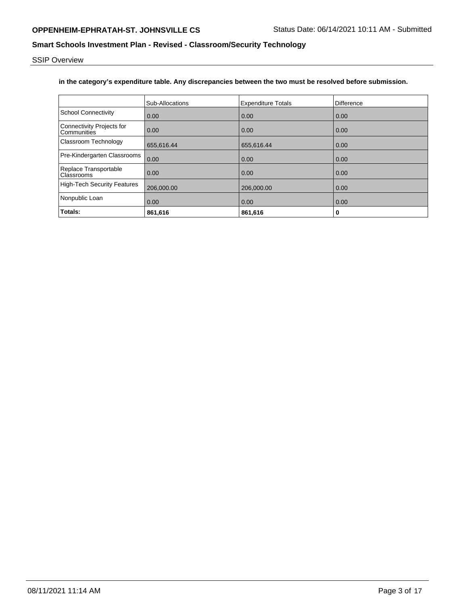SSIP Overview

## **in the category's expenditure table. Any discrepancies between the two must be resolved before submission.**

|                                          | <b>Sub-Allocations</b> | <b>Expenditure Totals</b> | <b>Difference</b> |
|------------------------------------------|------------------------|---------------------------|-------------------|
| <b>School Connectivity</b>               | 0.00                   | 0.00                      | 0.00              |
| Connectivity Projects for<br>Communities | 0.00                   | 0.00                      | 0.00              |
| Classroom Technology                     | 655.616.44             | 655,616.44                | 0.00              |
| Pre-Kindergarten Classrooms              | 0.00                   | 0.00                      | 0.00              |
| Replace Transportable<br>Classrooms      | 0.00                   | 0.00                      | 0.00              |
| <b>High-Tech Security Features</b>       | 206,000.00             | 206,000.00                | 0.00              |
| Nonpublic Loan                           | 0.00                   | 0.00                      | 0.00              |
| Totals:                                  | 861,616                | 861,616                   | 0                 |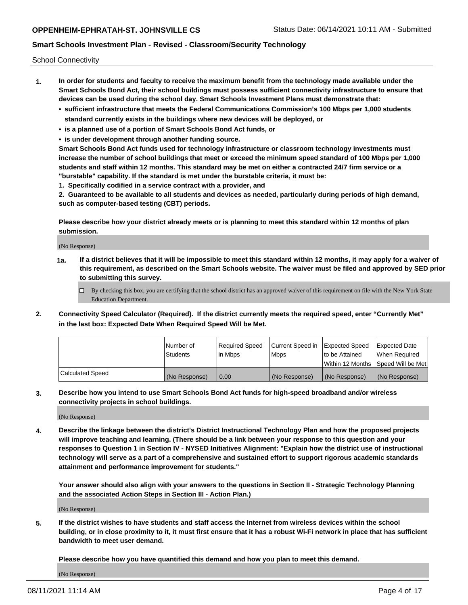School Connectivity

- **1. In order for students and faculty to receive the maximum benefit from the technology made available under the Smart Schools Bond Act, their school buildings must possess sufficient connectivity infrastructure to ensure that devices can be used during the school day. Smart Schools Investment Plans must demonstrate that:**
	- **• sufficient infrastructure that meets the Federal Communications Commission's 100 Mbps per 1,000 students standard currently exists in the buildings where new devices will be deployed, or**
	- **• is a planned use of a portion of Smart Schools Bond Act funds, or**
	- **• is under development through another funding source.**

**Smart Schools Bond Act funds used for technology infrastructure or classroom technology investments must increase the number of school buildings that meet or exceed the minimum speed standard of 100 Mbps per 1,000 students and staff within 12 months. This standard may be met on either a contracted 24/7 firm service or a "burstable" capability. If the standard is met under the burstable criteria, it must be:**

**1. Specifically codified in a service contract with a provider, and**

**2. Guaranteed to be available to all students and devices as needed, particularly during periods of high demand, such as computer-based testing (CBT) periods.**

**Please describe how your district already meets or is planning to meet this standard within 12 months of plan submission.**

(No Response)

**1a. If a district believes that it will be impossible to meet this standard within 12 months, it may apply for a waiver of this requirement, as described on the Smart Schools website. The waiver must be filed and approved by SED prior to submitting this survey.**

 $\Box$  By checking this box, you are certifying that the school district has an approved waiver of this requirement on file with the New York State Education Department.

**2. Connectivity Speed Calculator (Required). If the district currently meets the required speed, enter "Currently Met" in the last box: Expected Date When Required Speed Will be Met.**

|                  | l Number of     | Required Speed | Current Speed in | Expected Speed  | Expected Date                           |
|------------------|-----------------|----------------|------------------|-----------------|-----------------------------------------|
|                  | <b>Students</b> | In Mbps        | l Mbps           | to be Attained  | When Required                           |
|                  |                 |                |                  |                 | l Within 12 Months ISpeed Will be Met l |
| Calculated Speed | (No Response)   | 0.00           | (No Response)    | l (No Response) | l (No Response)                         |

**3. Describe how you intend to use Smart Schools Bond Act funds for high-speed broadband and/or wireless connectivity projects in school buildings.**

(No Response)

**4. Describe the linkage between the district's District Instructional Technology Plan and how the proposed projects will improve teaching and learning. (There should be a link between your response to this question and your responses to Question 1 in Section IV - NYSED Initiatives Alignment: "Explain how the district use of instructional technology will serve as a part of a comprehensive and sustained effort to support rigorous academic standards attainment and performance improvement for students."** 

**Your answer should also align with your answers to the questions in Section II - Strategic Technology Planning and the associated Action Steps in Section III - Action Plan.)**

(No Response)

**5. If the district wishes to have students and staff access the Internet from wireless devices within the school building, or in close proximity to it, it must first ensure that it has a robust Wi-Fi network in place that has sufficient bandwidth to meet user demand.**

**Please describe how you have quantified this demand and how you plan to meet this demand.**

(No Response)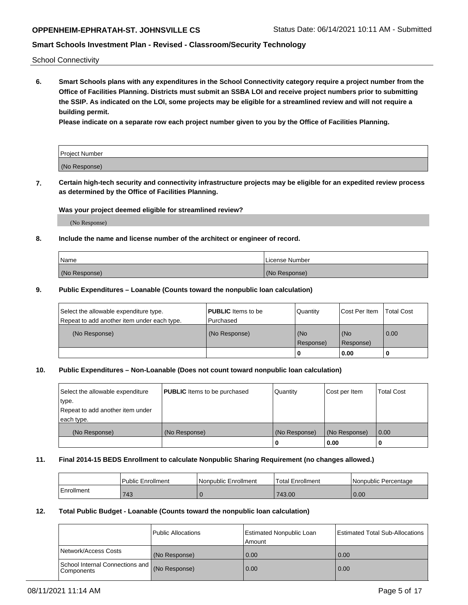School Connectivity

**6. Smart Schools plans with any expenditures in the School Connectivity category require a project number from the Office of Facilities Planning. Districts must submit an SSBA LOI and receive project numbers prior to submitting the SSIP. As indicated on the LOI, some projects may be eligible for a streamlined review and will not require a building permit.**

**Please indicate on a separate row each project number given to you by the Office of Facilities Planning.**

| Project Number |  |
|----------------|--|
| (No Response)  |  |

**7. Certain high-tech security and connectivity infrastructure projects may be eligible for an expedited review process as determined by the Office of Facilities Planning.**

### **Was your project deemed eligible for streamlined review?**

(No Response)

### **8. Include the name and license number of the architect or engineer of record.**

| Name          | License Number |
|---------------|----------------|
| (No Response) | (No Response)  |

### **9. Public Expenditures – Loanable (Counts toward the nonpublic loan calculation)**

| Select the allowable expenditure type.<br>Repeat to add another item under each type. | <b>PUBLIC</b> Items to be<br>l Purchased | Quantity           | Cost Per Item    | <b>Total Cost</b> |
|---------------------------------------------------------------------------------------|------------------------------------------|--------------------|------------------|-------------------|
| (No Response)                                                                         | (No Response)                            | l (No<br>Response) | (No<br>Response) | 0.00              |
|                                                                                       |                                          | U                  | 0.00             |                   |

# **10. Public Expenditures – Non-Loanable (Does not count toward nonpublic loan calculation)**

| Select the allowable expenditure<br>type.<br>Repeat to add another item under<br>each type. | <b>PUBLIC</b> Items to be purchased | Quantity      | Cost per Item | <b>Total Cost</b> |
|---------------------------------------------------------------------------------------------|-------------------------------------|---------------|---------------|-------------------|
| (No Response)                                                                               | (No Response)                       | (No Response) | (No Response) | 0.00              |
|                                                                                             |                                     |               | 0.00          |                   |

#### **11. Final 2014-15 BEDS Enrollment to calculate Nonpublic Sharing Requirement (no changes allowed.)**

|            | Public Enrollment | l Nonpublic Enrollment | <b>Total Enrollment</b> | Nonpublic Percentage |
|------------|-------------------|------------------------|-------------------------|----------------------|
| Enrollment | 743               |                        | 743.00                  | 0.00                 |

### **12. Total Public Budget - Loanable (Counts toward the nonpublic loan calculation)**

|                                                 | Public Allocations | Estimated Nonpublic Loan<br>Amount | <b>Estimated Total Sub-Allocations</b> |
|-------------------------------------------------|--------------------|------------------------------------|----------------------------------------|
| Network/Access Costs                            | (No Response)      | 0.00                               | 0.00                                   |
| School Internal Connections and<br>l Components | (No Response)      | 0.00                               | 0.00                                   |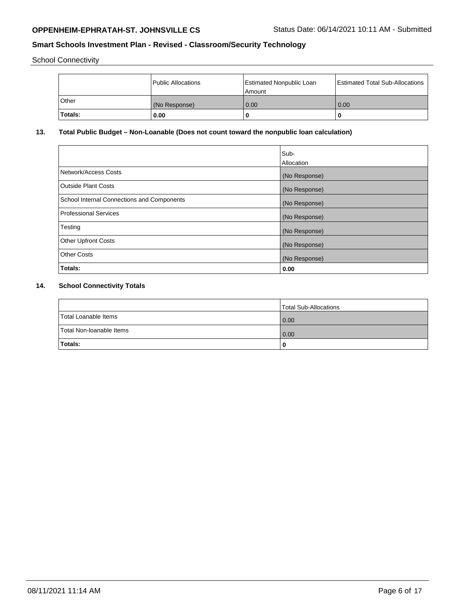School Connectivity

|         | Public Allocations | Estimated Nonpublic Loan<br>Amount | <b>Estimated Total Sub-Allocations</b> |
|---------|--------------------|------------------------------------|----------------------------------------|
| Other   | (No Response)      | 0.00                               | 0.00                                   |
| Totals: | 0.00               |                                    |                                        |

# **13. Total Public Budget – Non-Loanable (Does not count toward the nonpublic loan calculation)**

|                                                   | Sub-<br>Allocation |
|---------------------------------------------------|--------------------|
| Network/Access Costs                              | (No Response)      |
| <b>Outside Plant Costs</b>                        | (No Response)      |
| <b>School Internal Connections and Components</b> | (No Response)      |
| Professional Services                             | (No Response)      |
| Testing                                           | (No Response)      |
| <b>Other Upfront Costs</b>                        | (No Response)      |
| <b>Other Costs</b>                                | (No Response)      |
| <b>Totals:</b>                                    | 0.00               |

# **14. School Connectivity Totals**

|                          | Total Sub-Allocations |
|--------------------------|-----------------------|
| Total Loanable Items     | 0.00                  |
| Total Non-Ioanable Items | 0.00                  |
| Totals:                  | 0                     |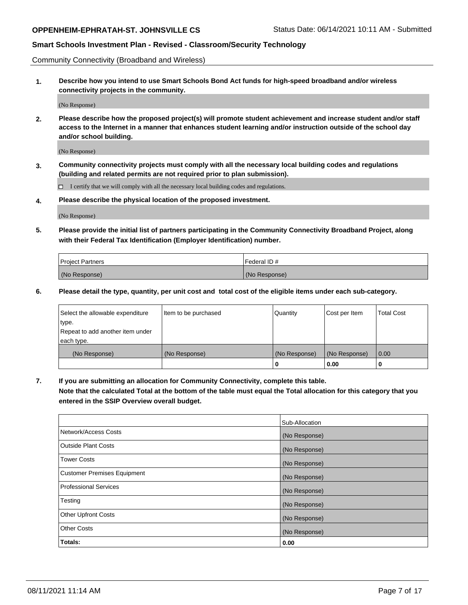Community Connectivity (Broadband and Wireless)

**1. Describe how you intend to use Smart Schools Bond Act funds for high-speed broadband and/or wireless connectivity projects in the community.**

(No Response)

**2. Please describe how the proposed project(s) will promote student achievement and increase student and/or staff access to the Internet in a manner that enhances student learning and/or instruction outside of the school day and/or school building.**

(No Response)

**3. Community connectivity projects must comply with all the necessary local building codes and regulations (building and related permits are not required prior to plan submission).**

 $\Box$  I certify that we will comply with all the necessary local building codes and regulations.

**4. Please describe the physical location of the proposed investment.**

(No Response)

**5. Please provide the initial list of partners participating in the Community Connectivity Broadband Project, along with their Federal Tax Identification (Employer Identification) number.**

| <b>Project Partners</b> | l Federal ID # |
|-------------------------|----------------|
| (No Response)           | (No Response)  |

**6. Please detail the type, quantity, per unit cost and total cost of the eligible items under each sub-category.**

| Select the allowable expenditure | Item to be purchased | Quantity      | Cost per Item | <b>Total Cost</b> |
|----------------------------------|----------------------|---------------|---------------|-------------------|
| type.                            |                      |               |               |                   |
| Repeat to add another item under |                      |               |               |                   |
| each type.                       |                      |               |               |                   |
| (No Response)                    | (No Response)        | (No Response) | (No Response) | 0.00              |
|                                  |                      | o             | 0.00          |                   |

**7. If you are submitting an allocation for Community Connectivity, complete this table.**

**Note that the calculated Total at the bottom of the table must equal the Total allocation for this category that you entered in the SSIP Overview overall budget.**

|                                    | Sub-Allocation |
|------------------------------------|----------------|
| Network/Access Costs               | (No Response)  |
| Outside Plant Costs                | (No Response)  |
| <b>Tower Costs</b>                 | (No Response)  |
| <b>Customer Premises Equipment</b> | (No Response)  |
| <b>Professional Services</b>       | (No Response)  |
| Testing                            | (No Response)  |
| <b>Other Upfront Costs</b>         | (No Response)  |
| <b>Other Costs</b>                 | (No Response)  |
| Totals:                            | 0.00           |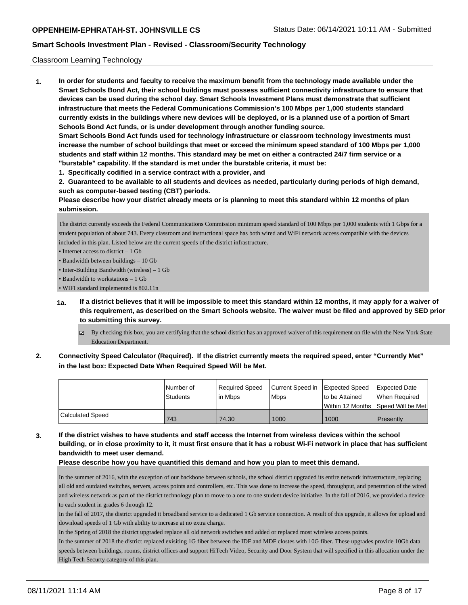### Classroom Learning Technology

**1. In order for students and faculty to receive the maximum benefit from the technology made available under the Smart Schools Bond Act, their school buildings must possess sufficient connectivity infrastructure to ensure that devices can be used during the school day. Smart Schools Investment Plans must demonstrate that sufficient infrastructure that meets the Federal Communications Commission's 100 Mbps per 1,000 students standard currently exists in the buildings where new devices will be deployed, or is a planned use of a portion of Smart Schools Bond Act funds, or is under development through another funding source. Smart Schools Bond Act funds used for technology infrastructure or classroom technology investments must increase the number of school buildings that meet or exceed the minimum speed standard of 100 Mbps per 1,000 students and staff within 12 months. This standard may be met on either a contracted 24/7 firm service or a**

- **"burstable" capability. If the standard is met under the burstable criteria, it must be:**
- **1. Specifically codified in a service contract with a provider, and**

**2. Guaranteed to be available to all students and devices as needed, particularly during periods of high demand, such as computer-based testing (CBT) periods.**

**Please describe how your district already meets or is planning to meet this standard within 12 months of plan submission.**

The district currently exceeds the Federal Communications Commission minimum speed standard of 100 Mbps per 1,000 students with 1 Gbps for a student population of about 743. Every classroom and instructional space has both wired and WiFi network access compatible with the devices included in this plan. Listed below are the current speeds of the district infrastructure.

• Internet access to district – 1 Gb

- Bandwidth between buildings 10 Gb
- Inter-Building Bandwidth (wireless) 1 Gb
- Bandwidth to workstations 1 Gb

• WIFI standard implemented is 802.11n

- **1a. If a district believes that it will be impossible to meet this standard within 12 months, it may apply for a waiver of this requirement, as described on the Smart Schools website. The waiver must be filed and approved by SED prior to submitting this survey.**
	- By checking this box, you are certifying that the school district has an approved waiver of this requirement on file with the New York State Education Department.
- **2. Connectivity Speed Calculator (Required). If the district currently meets the required speed, enter "Currently Met" in the last box: Expected Date When Required Speed Will be Met.**

|                  | l Number of<br><b>Students</b> | Reauired Speed<br>l in Mbps | Current Speed in Expected Speed<br><b>Mbps</b> | to be Attained | Expected Date<br>When Required       |
|------------------|--------------------------------|-----------------------------|------------------------------------------------|----------------|--------------------------------------|
|                  |                                |                             |                                                |                | Within 12 Months   Speed Will be Met |
| Calculated Speed | 743                            | 74.30                       | 1000                                           | 1000           | Presently                            |

**3. If the district wishes to have students and staff access the Internet from wireless devices within the school building, or in close proximity to it, it must first ensure that it has a robust Wi-Fi network in place that has sufficient bandwidth to meet user demand.**

### **Please describe how you have quantified this demand and how you plan to meet this demand.**

In the summer of 2016, with the exception of our backbone between schools, the school district upgraded its entire network infrastructure, replacing all old and outdated switches, servers, access points and controllers, etc. This was done to increase the speed, throughput, and penetration of the wired and wireless network as part of the district technology plan to move to a one to one student device initiative. In the fall of 2016, we provided a device to each student in grades 6 through 12.

In the fall of 2017, the district upgraded it broadband service to a dedicated 1 Gb service connection. A result of this upgrade, it allows for upload and download speeds of 1 Gb with ability to increase at no extra charge.

In the Spring of 2018 the district upgraded replace all old network switches and added or replaced most wireless access points.

In the summer of 2018 the district replaced exisiting 1G fiber between the IDF and MDF clostes with 10G fiber. These upgrades provide 10Gb data speeds between buildings, rooms, district offices and support HiTech Video, Security and Door System that will specified in this allocation under the High Tech Securty category of this plan.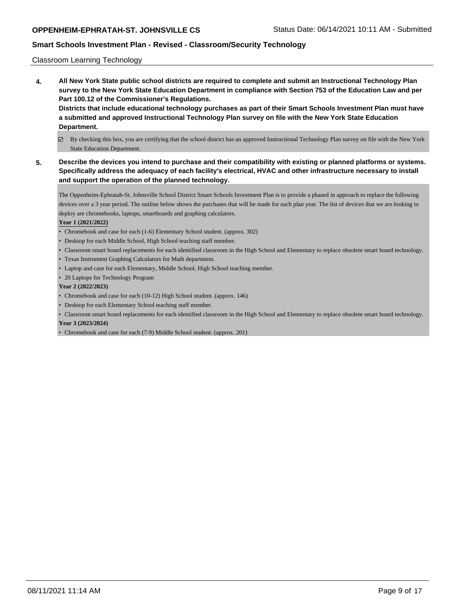### Classroom Learning Technology

**4. All New York State public school districts are required to complete and submit an Instructional Technology Plan survey to the New York State Education Department in compliance with Section 753 of the Education Law and per Part 100.12 of the Commissioner's Regulations. Districts that include educational technology purchases as part of their Smart Schools Investment Plan must have a submitted and approved Instructional Technology Plan survey on file with the New York State Education Department.**

# By checking this box, you are certifying that the school district has an approved Instructional Technology Plan survey on file with the New York State Education Department.

**5. Describe the devices you intend to purchase and their compatibility with existing or planned platforms or systems. Specifically address the adequacy of each facility's electrical, HVAC and other infrastructure necessary to install and support the operation of the planned technology.**

The Oppenheim-Ephratah-St. Johnsville School District Smart Schools Investment Plan is to provide a phased in approach to replace the following devices over a 3 year period. The outline below shows the purchases that will be made for each plan year. The list of devices that we are looking to deploy are chromebooks, laptops, smartboards and graphing calculators.

### **Year 1 (2021/2022)**

- Chromebook and case for each (1-6) Elementary School student. (approx. 302)
- Desktop for each Middle School, High School teaching staff member.
- Classroom smart board replacements for each identified classroom in the High School and Elementary to replace obsolete smart board technology.
- Texas Instrument Graphing Calculators for Math department.
- Laptop and case for each Elementary, Middle School, High School teaching member.
- 20 Laptops for Technology Program

### **Year 2 (2022/2023)**

- Chromebook and case for each (10-12) High School student. (approx. 146)
- Desktop for each Elementary School teaching staff member.
- Classroom smart board replacements for each identified classroom in the High School and Elementary to replace obsolete smart board technology. **Year 3 (2023/2024)**
- Chromebook and case for each (7-9) Middle School student. (approx. 201)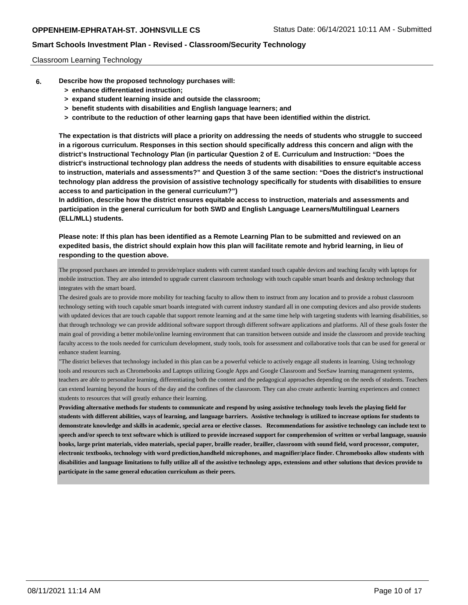#### Classroom Learning Technology

- **6. Describe how the proposed technology purchases will:**
	- **> enhance differentiated instruction;**
	- **> expand student learning inside and outside the classroom;**
	- **> benefit students with disabilities and English language learners; and**
	- **> contribute to the reduction of other learning gaps that have been identified within the district.**

**The expectation is that districts will place a priority on addressing the needs of students who struggle to succeed in a rigorous curriculum. Responses in this section should specifically address this concern and align with the district's Instructional Technology Plan (in particular Question 2 of E. Curriculum and Instruction: "Does the district's instructional technology plan address the needs of students with disabilities to ensure equitable access to instruction, materials and assessments?" and Question 3 of the same section: "Does the district's instructional technology plan address the provision of assistive technology specifically for students with disabilities to ensure access to and participation in the general curriculum?")**

**In addition, describe how the district ensures equitable access to instruction, materials and assessments and participation in the general curriculum for both SWD and English Language Learners/Multilingual Learners (ELL/MLL) students.**

**Please note: If this plan has been identified as a Remote Learning Plan to be submitted and reviewed on an expedited basis, the district should explain how this plan will facilitate remote and hybrid learning, in lieu of responding to the question above.**

The proposed purchases are intended to provide/replace students with current standard touch capable devices and teaching faculty with laptops for mobile instruction. They are also intended to upgrade current classroom technology with touch capable smart boards and desktop technology that integrates with the smart board.

The desired goals are to provide more mobility for teaching faculty to allow them to instruct from any location and to provide a robust classroom technology setting with touch capable smart boards integrated with current industry standard all in one computing devices and also provide students with updated devices that are touch capable that support remote learning and at the same time help with targeting students with learning disabilities, so that through technology we can provide additional software support through different software applications and platforms. All of these goals foster the main goal of providing a better mobile/online learning environment that can transition between outside and inside the classroom and provide teaching faculty access to the tools needed for curriculum development, study tools, tools for assessment and collaborative tools that can be used for general or enhance student learning.

"The district believes that technology included in this plan can be a powerful vehicle to actively engage all students in learning. Using technology tools and resources such as Chromebooks and Laptops utilizing Google Apps and Google Classroom and SeeSaw learning management systems, teachers are able to personalize learning, differentiating both the content and the pedagogical approaches depending on the needs of students. Teachers can extend learning beyond the hours of the day and the confines of the classroom. They can also create authentic learning experiences and connect students to resources that will greatly enhance their learning.

**Providing alternative methods for students to communicate and respond by using assistive technology tools levels the playing field for students with different abilities, ways of learning, and language barriers. Assistive technology is utilized to increase options for students to demonstrate knowledge and skills in academic, special area or elective classes. Recommendations for assistive technology can include text to speech and/or speech to text software which is utilized to provide increased support for comprehension of written or verbal language, suausio books, large print materials, video materials, special paper, braille reader, brailler, classroom with sound field, word processor, computer, electronic textbooks, technology with word prediction,handheld microphones, and magnifier/place finder. Chromebooks allow students with disabilities and language limitations to fully utilize all of the assistive technology apps, extensions and other solutions that devices provide to participate in the same general education curriculum as their peers.**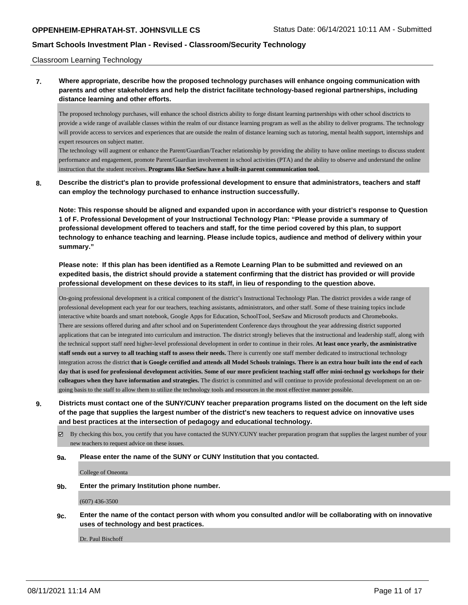#### Classroom Learning Technology

**7. Where appropriate, describe how the proposed technology purchases will enhance ongoing communication with parents and other stakeholders and help the district facilitate technology-based regional partnerships, including distance learning and other efforts.**

The proposed technology purchases, will enhance the school districts ability to forge distant learning partnerships with other school disctricts to provide a wide range of available classes within the realm of our distance learning program as well as the ability to deliver programs. The technology will provide access to services and experiences that are outside the realm of distance learning such as tutoring, mental health support, internships and expert resources on subject matter.

The technology will augment or enhance the Parent/Guardian/Teacher relationship by providing the ability to have online meetings to discuss student performance and engagement, promote Parent/Guardian involvement in school activities (PTA) and the ability to observe and understand the online instruction that the student receives. **Programs like SeeSaw have a built-in parent communication tool.**

**8. Describe the district's plan to provide professional development to ensure that administrators, teachers and staff can employ the technology purchased to enhance instruction successfully.**

**Note: This response should be aligned and expanded upon in accordance with your district's response to Question 1 of F. Professional Development of your Instructional Technology Plan: "Please provide a summary of professional development offered to teachers and staff, for the time period covered by this plan, to support technology to enhance teaching and learning. Please include topics, audience and method of delivery within your summary."**

**Please note: If this plan has been identified as a Remote Learning Plan to be submitted and reviewed on an expedited basis, the district should provide a statement confirming that the district has provided or will provide professional development on these devices to its staff, in lieu of responding to the question above.**

On-going professional development is a critical component of the district's Instructional Technology Plan. The district provides a wide range of professional development each year for our teachers, teaching assistants, administrators, and other staff. Some of these training topics include interactive white boards and smart notebook, Google Apps for Education, SchoolTool, SeeSaw and Microsoft products and Chromebooks. There are sessions offered during and after school and on Superintendent Conference days throughout the year addressing district supported applications that can be integrated into curriculum and instruction. The district strongly believes that the instructional and leadership staff, along with the technical support staff need higher-level professional development in order to continue in their roles. **At least once yearly, the asministrative staff sends out a survey to all teaching staff to assess their needs.** There is currently one staff member dedicated to instructional technology integration across the district **that is Google certified and attends all Model Schools trainings. There is an extra hour built into the end of each day that is used for professional development activities. Some of our more proficient teaching staff offer mini-technol gy workshops for their colleagues when they have information and strategies.** The district is committed and will continue to provide professional development on an ongoing basis to the staff to allow them to utilize the technology tools and resources in the most effective manner possible.

**9. Districts must contact one of the SUNY/CUNY teacher preparation programs listed on the document on the left side of the page that supplies the largest number of the district's new teachers to request advice on innovative uses and best practices at the intersection of pedagogy and educational technology.**

 $\boxtimes$  By checking this box, you certify that you have contacted the SUNY/CUNY teacher preparation program that supplies the largest number of your new teachers to request advice on these issues.

**9a. Please enter the name of the SUNY or CUNY Institution that you contacted.**

College of Oneonta

**9b. Enter the primary Institution phone number.**

(607) 436-3500

**9c. Enter the name of the contact person with whom you consulted and/or will be collaborating with on innovative uses of technology and best practices.**

Dr. Paul Bischoff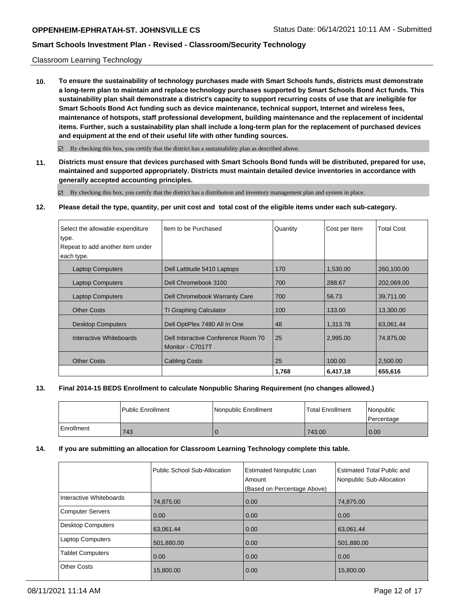### Classroom Learning Technology

**10. To ensure the sustainability of technology purchases made with Smart Schools funds, districts must demonstrate a long-term plan to maintain and replace technology purchases supported by Smart Schools Bond Act funds. This sustainability plan shall demonstrate a district's capacity to support recurring costs of use that are ineligible for Smart Schools Bond Act funding such as device maintenance, technical support, Internet and wireless fees, maintenance of hotspots, staff professional development, building maintenance and the replacement of incidental items. Further, such a sustainability plan shall include a long-term plan for the replacement of purchased devices and equipment at the end of their useful life with other funding sources.**

 $\boxtimes$  By checking this box, you certify that the district has a sustainability plan as described above.

**11. Districts must ensure that devices purchased with Smart Schools Bond funds will be distributed, prepared for use, maintained and supported appropriately. Districts must maintain detailed device inventories in accordance with generally accepted accounting principles.**

By checking this box, you certify that the district has a distribution and inventory management plan and system in place.

#### **12. Please detail the type, quantity, per unit cost and total cost of the eligible items under each sub-category.**

| Select the allowable expenditure<br>type.<br>Repeat to add another item under<br>each type. | Item to be Purchased                                    | Quantity | Cost per Item | <b>Total Cost</b> |
|---------------------------------------------------------------------------------------------|---------------------------------------------------------|----------|---------------|-------------------|
| <b>Laptop Computers</b>                                                                     | Dell Lattitude 5410 Laptops                             | 170      | 1,530.00      | 260,100.00        |
| <b>Laptop Computers</b>                                                                     | Dell Chromebook 3100                                    | 700      | 288.67        | 202,069.00        |
| <b>Laptop Computers</b>                                                                     | Dell Chromebook Warranty Care                           | 700      | 56.73         | 39,711.00         |
| <b>Other Costs</b>                                                                          | <b>TI Graphing Calculator</b>                           | 100      | 133.00        | 13,300.00         |
| <b>Desktop Computers</b>                                                                    | Dell OptiPlex 7480 All In One                           | 48       | 1,313.78      | 63.061.44         |
| Interactive Whiteboards                                                                     | Dell Interactive Conference Room 70<br>Monitor - C7017T | 25       | 2,995.00      | 74,875.00         |
| <b>Other Costs</b>                                                                          | <b>Cabling Costs</b>                                    | 25       | 100.00        | 2,500.00          |
|                                                                                             |                                                         | 1,768    | 6,417.18      | 655,616           |

### **13. Final 2014-15 BEDS Enrollment to calculate Nonpublic Sharing Requirement (no changes allowed.)**

|            | Public Enrollment | Nonpublic Enrollment | Total Enrollment | l Nonpublic<br>l Percentage |
|------------|-------------------|----------------------|------------------|-----------------------------|
| Enrollment | 743               |                      | 743.00           | 0.00                        |

#### **14. If you are submitting an allocation for Classroom Learning Technology complete this table.**

|                          | Public School Sub-Allocation | <b>Estimated Nonpublic Loan</b><br>Amount<br>(Based on Percentage Above) | Estimated Total Public and<br>Nonpublic Sub-Allocation |
|--------------------------|------------------------------|--------------------------------------------------------------------------|--------------------------------------------------------|
| Interactive Whiteboards  | 74,875.00                    | 0.00                                                                     | 74,875.00                                              |
| <b>Computer Servers</b>  | 0.00                         | 0.00                                                                     | 0.00                                                   |
| <b>Desktop Computers</b> | 63,061.44                    | 0.00                                                                     | 63.061.44                                              |
| <b>Laptop Computers</b>  | 501,880.00                   | 0.00                                                                     | 501,880.00                                             |
| <b>Tablet Computers</b>  | 0.00                         | 0.00                                                                     | 0.00                                                   |
| <b>Other Costs</b>       | 15,800.00                    | 0.00                                                                     | 15,800.00                                              |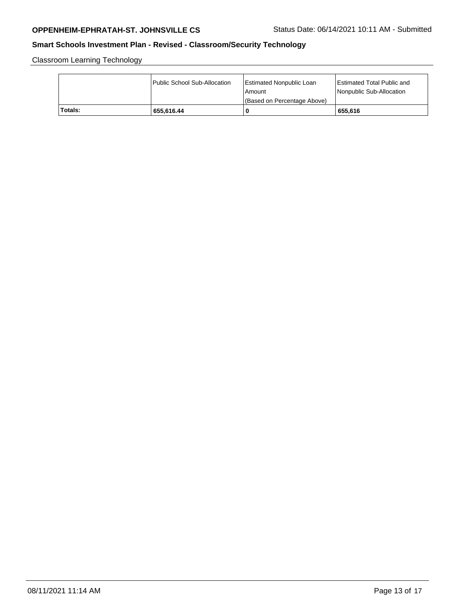Classroom Learning Technology

|         | Public School Sub-Allocation | Estimated Nonpublic Loan<br>l Amount<br>(Based on Percentage Above) | <b>Estimated Total Public and</b><br>Nonpublic Sub-Allocation |
|---------|------------------------------|---------------------------------------------------------------------|---------------------------------------------------------------|
| Totals: | 655.616.44                   | 0                                                                   | 655.616                                                       |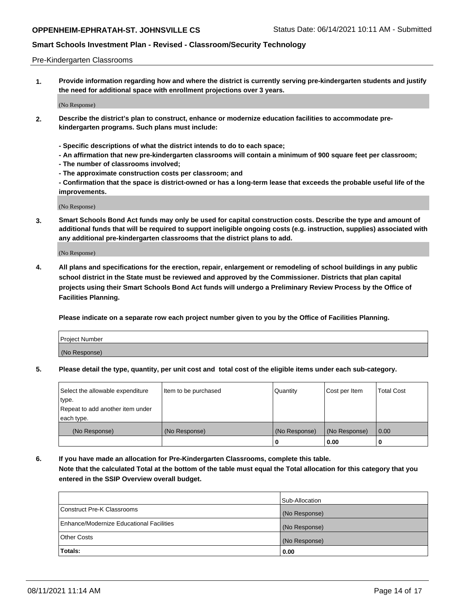#### Pre-Kindergarten Classrooms

**1. Provide information regarding how and where the district is currently serving pre-kindergarten students and justify the need for additional space with enrollment projections over 3 years.**

(No Response)

- **2. Describe the district's plan to construct, enhance or modernize education facilities to accommodate prekindergarten programs. Such plans must include:**
	- **Specific descriptions of what the district intends to do to each space;**
	- **An affirmation that new pre-kindergarten classrooms will contain a minimum of 900 square feet per classroom;**
	- **The number of classrooms involved;**
	- **The approximate construction costs per classroom; and**
	- **Confirmation that the space is district-owned or has a long-term lease that exceeds the probable useful life of the improvements.**

(No Response)

**3. Smart Schools Bond Act funds may only be used for capital construction costs. Describe the type and amount of additional funds that will be required to support ineligible ongoing costs (e.g. instruction, supplies) associated with any additional pre-kindergarten classrooms that the district plans to add.**

(No Response)

**4. All plans and specifications for the erection, repair, enlargement or remodeling of school buildings in any public school district in the State must be reviewed and approved by the Commissioner. Districts that plan capital projects using their Smart Schools Bond Act funds will undergo a Preliminary Review Process by the Office of Facilities Planning.**

**Please indicate on a separate row each project number given to you by the Office of Facilities Planning.**

| Project Number |  |
|----------------|--|
| (No Response)  |  |
|                |  |

**5. Please detail the type, quantity, per unit cost and total cost of the eligible items under each sub-category.**

| Select the allowable expenditure | Item to be purchased | Quantity      | Cost per Item | <b>Total Cost</b> |
|----------------------------------|----------------------|---------------|---------------|-------------------|
| type.                            |                      |               |               |                   |
| Repeat to add another item under |                      |               |               |                   |
| each type.                       |                      |               |               |                   |
| (No Response)                    | (No Response)        | (No Response) | (No Response) | 0.00              |
|                                  |                      | o             | 0.00          | u                 |

**6. If you have made an allocation for Pre-Kindergarten Classrooms, complete this table. Note that the calculated Total at the bottom of the table must equal the Total allocation for this category that you entered in the SSIP Overview overall budget.**

|                                          | Sub-Allocation |
|------------------------------------------|----------------|
| Construct Pre-K Classrooms               | (No Response)  |
| Enhance/Modernize Educational Facilities | (No Response)  |
| <b>Other Costs</b>                       | (No Response)  |
| Totals:                                  | 0.00           |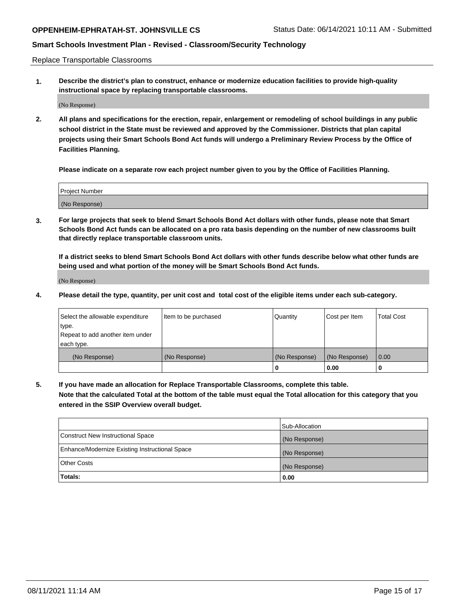Replace Transportable Classrooms

**1. Describe the district's plan to construct, enhance or modernize education facilities to provide high-quality instructional space by replacing transportable classrooms.**

(No Response)

**2. All plans and specifications for the erection, repair, enlargement or remodeling of school buildings in any public school district in the State must be reviewed and approved by the Commissioner. Districts that plan capital projects using their Smart Schools Bond Act funds will undergo a Preliminary Review Process by the Office of Facilities Planning.**

**Please indicate on a separate row each project number given to you by the Office of Facilities Planning.**

| Project Number |  |
|----------------|--|
|                |  |
| (No Response)  |  |

**3. For large projects that seek to blend Smart Schools Bond Act dollars with other funds, please note that Smart Schools Bond Act funds can be allocated on a pro rata basis depending on the number of new classrooms built that directly replace transportable classroom units.**

**If a district seeks to blend Smart Schools Bond Act dollars with other funds describe below what other funds are being used and what portion of the money will be Smart Schools Bond Act funds.**

(No Response)

**4. Please detail the type, quantity, per unit cost and total cost of the eligible items under each sub-category.**

| Select the allowable expenditure | Item to be purchased | Quantity      | Cost per Item | Total Cost |
|----------------------------------|----------------------|---------------|---------------|------------|
| ∣type.                           |                      |               |               |            |
| Repeat to add another item under |                      |               |               |            |
| each type.                       |                      |               |               |            |
| (No Response)                    | (No Response)        | (No Response) | (No Response) | 0.00       |
|                                  |                      | u             | 0.00          |            |

**5. If you have made an allocation for Replace Transportable Classrooms, complete this table. Note that the calculated Total at the bottom of the table must equal the Total allocation for this category that you entered in the SSIP Overview overall budget.**

|                                                | Sub-Allocation |
|------------------------------------------------|----------------|
| Construct New Instructional Space              | (No Response)  |
| Enhance/Modernize Existing Instructional Space | (No Response)  |
| Other Costs                                    | (No Response)  |
| Totals:                                        | 0.00           |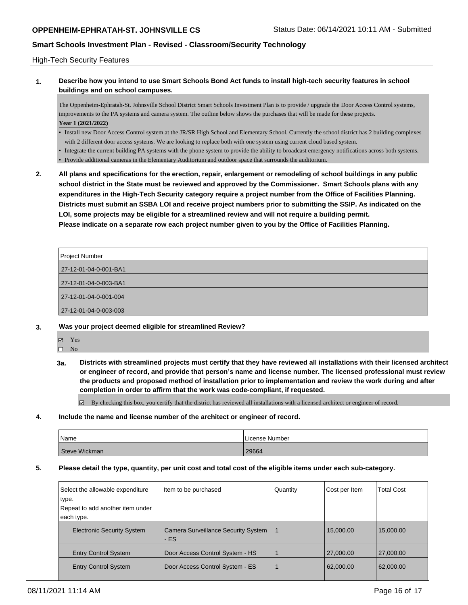### High-Tech Security Features

**1. Describe how you intend to use Smart Schools Bond Act funds to install high-tech security features in school buildings and on school campuses.**

The Oppenheim-Ephratah-St. Johnsville School District Smart Schools Investment Plan is to provide / upgrade the Door Access Control systems, improvements to the PA systems and camera system. The outline below shows the purchases that will be made for these projects. **Year 1 (2021/2022)**

- Install new Door Access Control system at the JR/SR High School and Elementary School. Currently the school district has 2 building complexes with 2 different door access systems. We are looking to replace both with one system using current cloud based system.
- Integrate the current building PA systems with the phone system to provide the ability to broadcast emergency notifications across both systems.
- Provide additional cameras in the Elementary Auditorium and outdoor space that surrounds the auditorium.
- **2. All plans and specifications for the erection, repair, enlargement or remodeling of school buildings in any public school district in the State must be reviewed and approved by the Commissioner. Smart Schools plans with any expenditures in the High-Tech Security category require a project number from the Office of Facilities Planning. Districts must submit an SSBA LOI and receive project numbers prior to submitting the SSIP. As indicated on the LOI, some projects may be eligible for a streamlined review and will not require a building permit. Please indicate on a separate row each project number given to you by the Office of Facilities Planning.**

| Project Number        |
|-----------------------|
|                       |
| 27-12-01-04-0-001-BA1 |
|                       |
| 27-12-01-04-0-003-BA1 |
|                       |
| 27-12-01-04-0-001-004 |
|                       |
| 27-12-01-04-0-003-003 |

- **3. Was your project deemed eligible for streamlined Review?**
	- Yes
	- $\square$  No
	- **3a. Districts with streamlined projects must certify that they have reviewed all installations with their licensed architect or engineer of record, and provide that person's name and license number. The licensed professional must review the products and proposed method of installation prior to implementation and review the work during and after completion in order to affirm that the work was code-compliant, if requested.**

By checking this box, you certify that the district has reviewed all installations with a licensed architect or engineer of record.

**4. Include the name and license number of the architect or engineer of record.**

| Name          | License Number |
|---------------|----------------|
| Steve Wickman | 29664          |

#### **5. Please detail the type, quantity, per unit cost and total cost of the eligible items under each sub-category.**

| Select the allowable expenditure<br>type.<br>Repeat to add another item under | Item to be purchased                         | Quantity | Cost per Item | <b>Total Cost</b> |
|-------------------------------------------------------------------------------|----------------------------------------------|----------|---------------|-------------------|
| each type.                                                                    |                                              |          |               |                   |
| <b>Electronic Security System</b>                                             | Camera Surveillance Security System<br>$-ES$ |          | 15,000.00     | 15,000.00         |
| <b>Entry Control System</b>                                                   | Door Access Control System - HS              |          | 27,000.00     | 27,000.00         |
| <b>Entry Control System</b>                                                   | Door Access Control System - ES              |          | 62,000.00     | 62,000.00         |